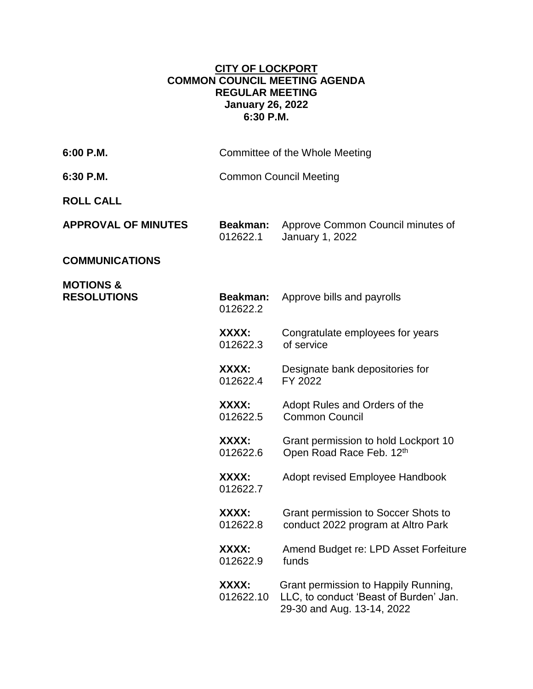## **CITY OF LOCKPORT COMMON COUNCIL MEETING AGENDA REGULAR MEETING January 26, 2022 6:30 P.M.**

| 6:00 P.M.                                  |                               | Committee of the Whole Meeting                                                                               |
|--------------------------------------------|-------------------------------|--------------------------------------------------------------------------------------------------------------|
| 6:30 P.M.                                  | <b>Common Council Meeting</b> |                                                                                                              |
| <b>ROLL CALL</b>                           |                               |                                                                                                              |
| <b>APPROVAL OF MINUTES</b>                 | <b>Beakman:</b><br>012622.1   | Approve Common Council minutes of<br>January 1, 2022                                                         |
| <b>COMMUNICATIONS</b>                      |                               |                                                                                                              |
| <b>MOTIONS &amp;</b><br><b>RESOLUTIONS</b> | <b>Beakman:</b><br>012622.2   | Approve bills and payrolls                                                                                   |
|                                            | XXXX:<br>012622.3             | Congratulate employees for years<br>of service                                                               |
|                                            | XXXX:<br>012622.4             | Designate bank depositories for<br>FY 2022                                                                   |
|                                            | XXXX:<br>012622.5             | Adopt Rules and Orders of the<br><b>Common Council</b>                                                       |
|                                            | XXXX:<br>012622.6             | Grant permission to hold Lockport 10<br>Open Road Race Feb. 12th                                             |
|                                            | XXXX:<br>012622.7             | Adopt revised Employee Handbook                                                                              |
|                                            | XXXX:<br>012622.8             | Grant permission to Soccer Shots to<br>conduct 2022 program at Altro Park                                    |
|                                            | XXXX:<br>012622.9             | Amend Budget re: LPD Asset Forfeiture<br>funds                                                               |
|                                            | XXXX:<br>012622.10            | Grant permission to Happily Running,<br>LLC, to conduct 'Beast of Burden' Jan.<br>29-30 and Aug. 13-14, 2022 |